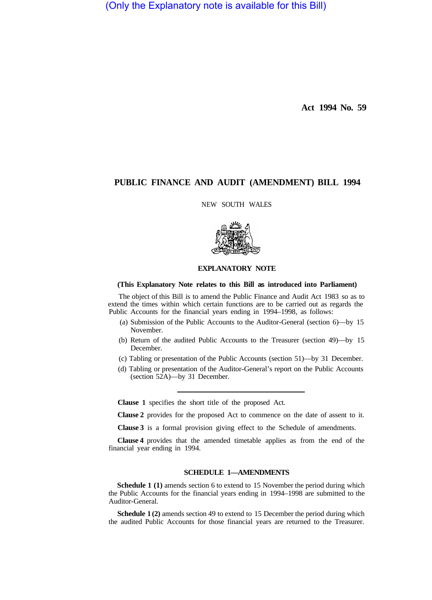(Only the Explanatory note is available for this Bill)

**Act 1994 No. 59** 

## **PUBLIC FINANCE AND AUDIT (AMENDMENT) BILL 1994**

NEW SOUTH WALES



## **EXPLANATORY NOTE**

## **(This Explanatory Note relates to this Bill as introduced into Parliament)**

The object of this Bill is to amend the Public Finance and Audit Act 1983 so as to extend the times within which certain functions are to be carried out as regards the Public Accounts for the financial years ending in 1994–1998, as follows:

- (a) Submission of the Public Accounts to the Auditor-General (section 6)—by 15 November.
- (b) Return of the audited Public Accounts to the Treasurer (section 49)—by 15 December.
- (c) Tabling or presentation of the Public Accounts (section 51)—by 31 December.
- (d) Tabling or presentation of the Auditor-General's report on the Public Accounts (section 52A)—by 31 December.

**Clause 1** specifies the short title of the proposed Act.

**Clause 2** provides for the proposed Act to commence on the date of assent to it.

**Clause 3** is a formal provision giving effect to the Schedule of amendments.

**Clause 4** provides that the amended timetable applies as from the end of the financial year ending in 1994.

## **SCHEDULE 1—AMENDMENTS**

**Schedule 1 (1)** amends section 6 to extend to 15 November the period during which the Public Accounts for the financial years ending in 1994–1998 are submitted to the Auditor-General.

**Schedule 1 (2)** amends section 49 to extend to 15 December the period during which the audited Public Accounts for those financial years are returned to the Treasurer.